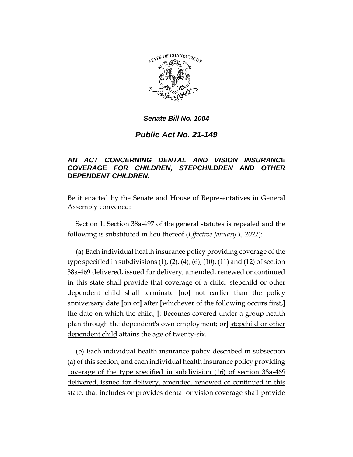

## *Senate Bill No. 1004*

## *Public Act No. 21-149*

## *AN ACT CONCERNING DENTAL AND VISION INSURANCE COVERAGE FOR CHILDREN, STEPCHILDREN AND OTHER DEPENDENT CHILDREN.*

Be it enacted by the Senate and House of Representatives in General Assembly convened:

Section 1. Section 38a-497 of the general statutes is repealed and the following is substituted in lieu thereof (*Effective January 1, 2022*):

(a) Each individual health insurance policy providing coverage of the type specified in subdivisions  $(1)$ ,  $(2)$ ,  $(4)$ ,  $(6)$ ,  $(10)$ ,  $(11)$  and  $(12)$  of section 38a-469 delivered, issued for delivery, amended, renewed or continued in this state shall provide that coverage of a child, stepchild or other dependent child shall terminate **[**no**]** not earlier than the policy anniversary date **[**on or**]** after **[**whichever of the following occurs first,**]** the date on which the child, **[**: Becomes covered under a group health plan through the dependent's own employment; or**]** stepchild or other dependent child attains the age of twenty-six.

(b) Each individual health insurance policy described in subsection (a) of this section, and each individual health insurance policy providing coverage of the type specified in subdivision (16) of section 38a-469 delivered, issued for delivery, amended, renewed or continued in this state, that includes or provides dental or vision coverage shall provide